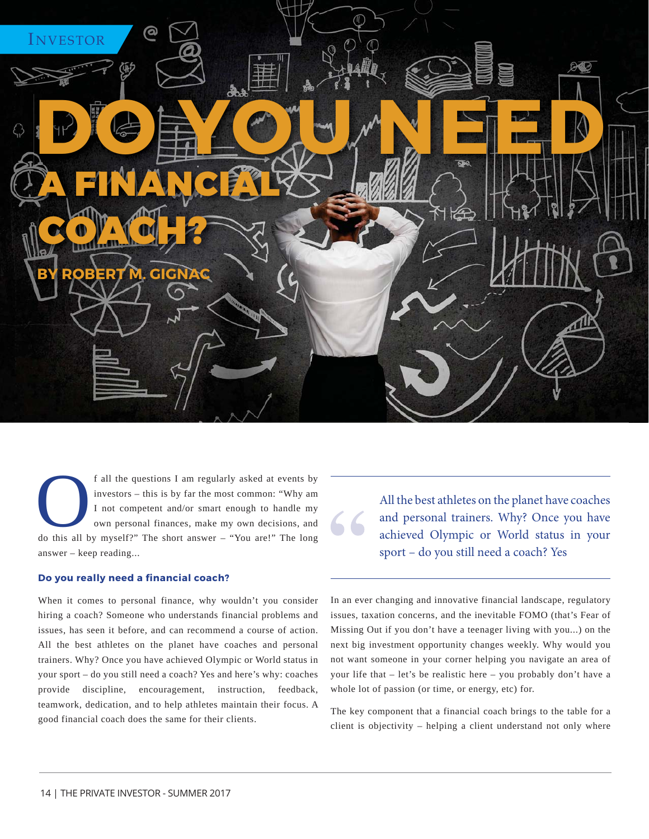

f all the questions I am regularly asked at events by investors – this is by far the most common: "Why am I not competent and/or smart enough to handle my own personal finances, make my own decisions, and do this all by my investors – this is by far the most common: "Why am I not competent and/or smart enough to handle my own personal finances, make my own decisions, and answer – keep reading...

## **Do you really need a financial coach?**

When it comes to personal finance, why wouldn't you consider hiring a coach? Someone who understands financial problems and issues, has seen it before, and can recommend a course of action. All the best athletes on the planet have coaches and personal trainers. Why? Once you have achieved Olympic or World status in your sport – do you still need a coach? Yes and here's why: coaches provide discipline, encouragement, instruction, feedback, teamwork, dedication, and to help athletes maintain their focus. A good financial coach does the same for their clients.

All the best athletes on the planet have coaches and personal trainers. Why? Once you have achieved Olympic or World status in your sport – do you still need a coach? Yes

In an ever changing and innovative financial landscape, regulatory issues, taxation concerns, and the inevitable FOMO (that's Fear of Missing Out if you don't have a teenager living with you...) on the next big investment opportunity changes weekly. Why would you not want someone in your corner helping you navigate an area of your life that – let's be realistic here – you probably don't have a whole lot of passion (or time, or energy, etc) for.

The key component that a financial coach brings to the table for a client is objectivity – helping a client understand not only where